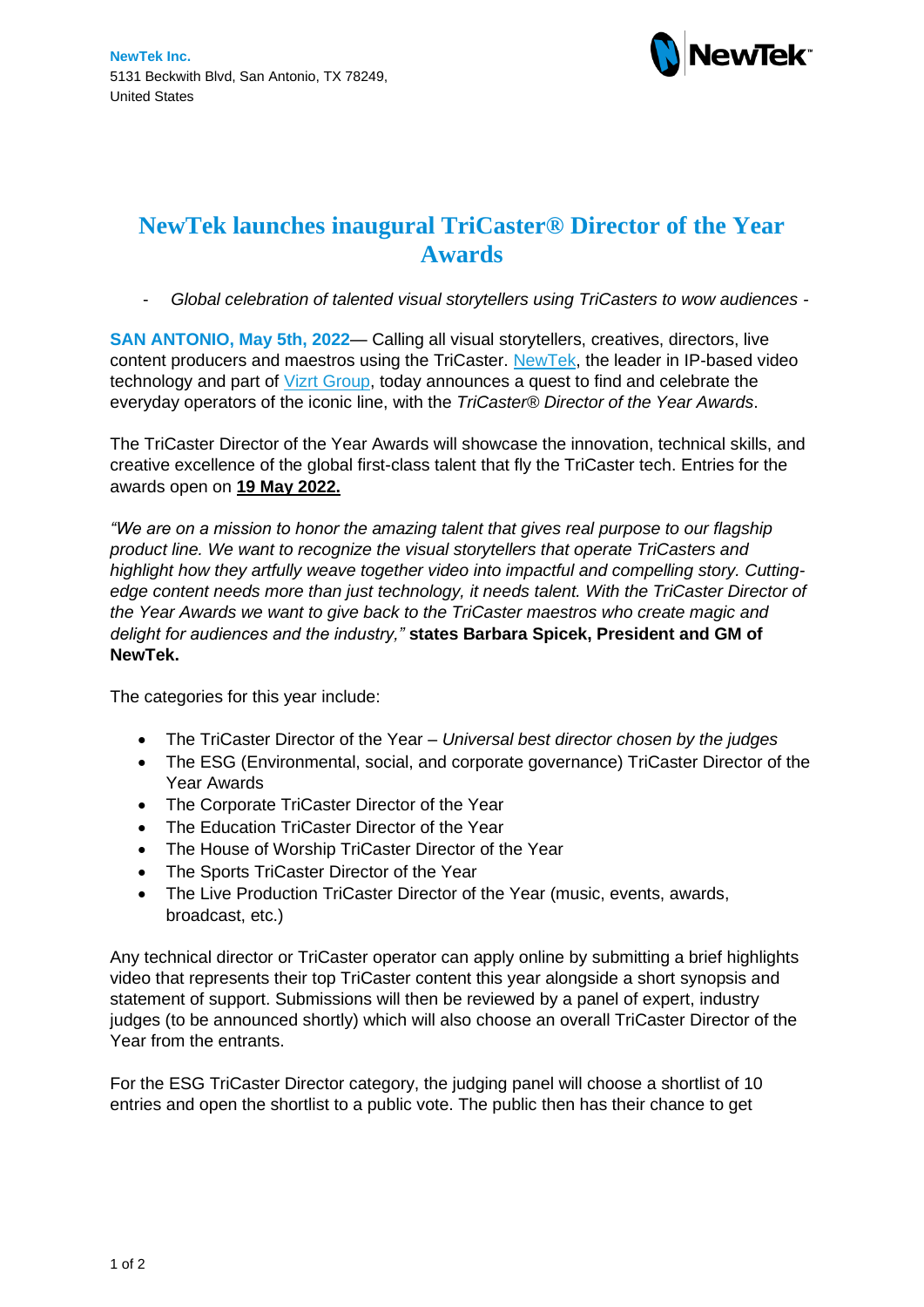

## **NewTek launches inaugural TriCaster® Director of the Year Awards**

- *Global celebration of talented visual storytellers using TriCasters to wow audiences -*

**SAN ANTONIO, May 5th, 2022**— Calling all visual storytellers, creatives, directors, live content producers and maestros using the TriCaster. [NewTek,](https://www.newtek.com/) the leader in IP-based video technology and part of [Vizrt Group,](https://www.vizrtgroup.com/) today announces a quest to find and celebrate the everyday operators of the iconic line, with the *TriCaster® Director of the Year Awards*.

The TriCaster Director of the Year Awards will showcase the innovation, technical skills, and creative excellence of the global first-class talent that fly the TriCaster tech. Entries for the awards open on **19 May 2022.**

*"We are on a mission to honor the amazing talent that gives real purpose to our flagship product line. We want to recognize the visual storytellers that operate TriCasters and highlight how they artfully weave together video into impactful and compelling story. Cuttingedge content needs more than just technology, it needs talent. With the TriCaster Director of the Year Awards we want to give back to the TriCaster maestros who create magic and delight for audiences and the industry,"* **states Barbara Spicek, President and GM of NewTek.**

The categories for this year include:

- The TriCaster Director of the Year *Universal best director chosen by the judges*
- The ESG (Environmental, social, and corporate governance) TriCaster Director of the Year Awards
- The Corporate TriCaster Director of the Year
- The Education TriCaster Director of the Year
- The House of Worship TriCaster Director of the Year
- The Sports TriCaster Director of the Year
- The Live Production TriCaster Director of the Year (music, events, awards, broadcast, etc.)

Any technical director or TriCaster operator can apply online by submitting a brief highlights video that represents their top TriCaster content this year alongside a short synopsis and statement of support. Submissions will then be reviewed by a panel of expert, industry judges (to be announced shortly) which will also choose an overall TriCaster Director of the Year from the entrants.

For the ESG TriCaster Director category, the judging panel will choose a shortlist of 10 entries and open the shortlist to a public vote. The public then has their chance to get